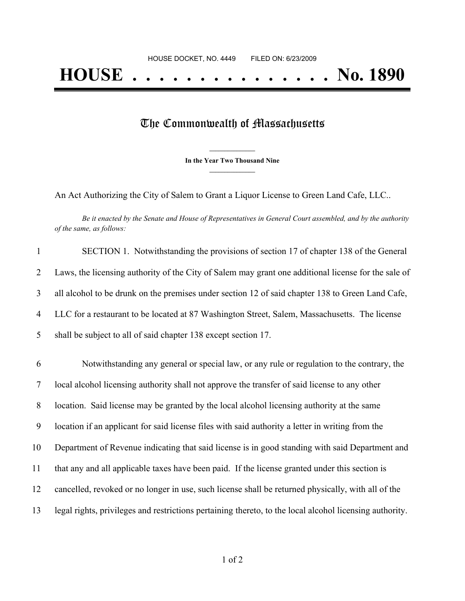## The Commonwealth of Massachusetts

**\_\_\_\_\_\_\_\_\_\_\_\_\_\_\_ In the Year Two Thousand Nine \_\_\_\_\_\_\_\_\_\_\_\_\_\_\_**

An Act Authorizing the City of Salem to Grant a Liquor License to Green Land Cafe, LLC..

Be it enacted by the Senate and House of Representatives in General Court assembled, and by the authority *of the same, as follows:*

| $\mathbf{1}$   | SECTION 1. Notwithstanding the provisions of section 17 of chapter 138 of the General                   |
|----------------|---------------------------------------------------------------------------------------------------------|
| $\overline{2}$ | Laws, the licensing authority of the City of Salem may grant one additional license for the sale of     |
| 3              | all alcohol to be drunk on the premises under section 12 of said chapter 138 to Green Land Cafe,        |
| $\overline{4}$ | LLC for a restaurant to be located at 87 Washington Street, Salem, Massachusetts. The license           |
| 5              | shall be subject to all of said chapter 138 except section 17.                                          |
| 6              | Notwithstanding any general or special law, or any rule or regulation to the contrary, the              |
| 7              | local alcohol licensing authority shall not approve the transfer of said license to any other           |
| 8              | location. Said license may be granted by the local alcohol licensing authority at the same              |
| 9              | location if an applicant for said license files with said authority a letter in writing from the        |
| 10             | Department of Revenue indicating that said license is in good standing with said Department and         |
| 11             | that any and all applicable taxes have been paid. If the license granted under this section is          |
| 12             | cancelled, revoked or no longer in use, such license shall be returned physically, with all of the      |
| 13             | legal rights, privileges and restrictions pertaining thereto, to the local alcohol licensing authority. |

of 2